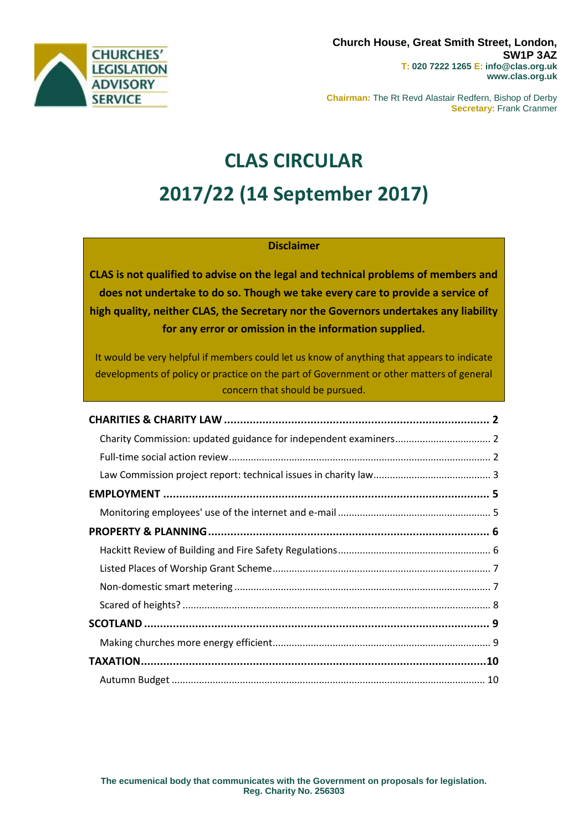

**Chairman:** The Rt Revd Alastair Redfern, Bishop of Derby **Secretary:** Frank Cranmer

# **CLAS CIRCULAR 2017/22 (14 September 2017)**

## **Disclaimer**

**CLAS is not qualified to advise on the legal and technical problems of members and does not undertake to do so. Though we take every care to provide a service of high quality, neither CLAS, the Secretary nor the Governors undertakes any liability for any error or omission in the information supplied.**

It would be very helpful if members could let us know of anything that appears to indicate developments of policy or practice on the part of Government or other matters of general concern that should be pursued.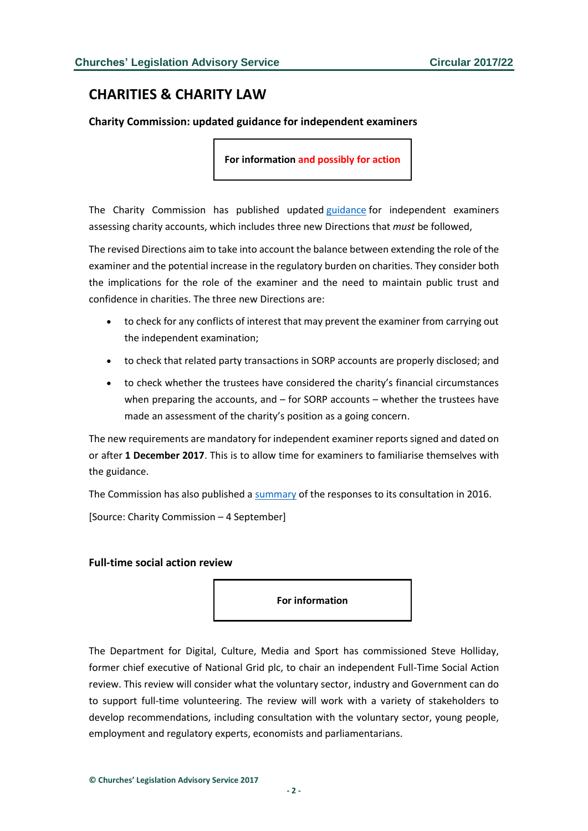## <span id="page-1-0"></span>**CHARITIES & CHARITY LAW**

<span id="page-1-1"></span>**Charity Commission: updated guidance for independent examiners**

**For information and possibly for action**

The Charity Commission has published updated [guidance](http://www.gov.uk/government/publications/independent-examination-of-charity-accounts-examiners-cc32) for independent examiners assessing charity accounts, which includes three new Directions that *must* be followed,

The revised Directions aim to take into account the balance between extending the role of the examiner and the potential increase in the regulatory burden on charities. They consider both the implications for the role of the examiner and the need to maintain public trust and confidence in charities. The three new Directions are:

- to check for any conflicts of interest that may prevent the examiner from carrying out the independent examination;
- to check that related party transactions in SORP accounts are properly disclosed; and
- to check whether the trustees have considered the charity's financial circumstances when preparing the accounts, and – for SORP accounts – whether the trustees have made an assessment of the charity's position as a going concern.

The new requirements are mandatory for independent examiner reports signed and dated on or after **1 December 2017**. This is to allow time for examiners to familiarise themselves with the guidance.

The Commission has also published a [summary](http://www.gov.uk/government/uploads/system/uploads/attachment_data/file/641933/Consultation_on_updating_the_framework_for_independent_examiners_feedback_v1.1.pdf) of the responses to its consultation in 2016.

[Source: Charity Commission – 4 September]

#### <span id="page-1-2"></span>**Full-time social action review**

**For information**

The Department for Digital, Culture, Media and Sport has commissioned Steve Holliday, former chief executive of National Grid plc, to chair an independent Full-Time Social Action review. This review will consider what the voluntary sector, industry and Government can do to support full-time volunteering. The review will work with a variety of stakeholders to develop recommendations, including consultation with the voluntary sector, young people, employment and regulatory experts, economists and parliamentarians.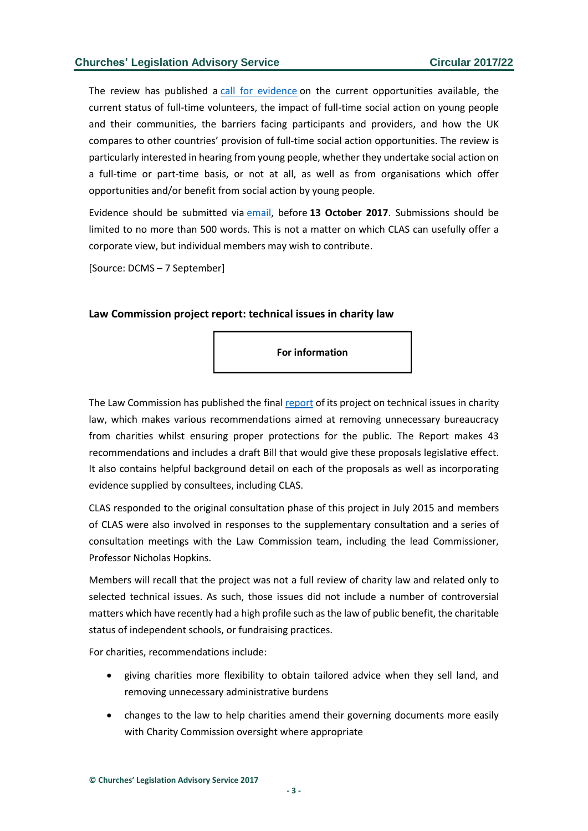The review has published a [call for evidence](http://www.gov.uk/government/uploads/system/uploads/attachment_data/file/642744/Full-time_social_action_review_-_call_for_evidence.pdf) on the current opportunities available, the current status of full-time volunteers, the impact of full-time social action on young people and their communities, the barriers facing participants and providers, and how the UK compares to other countries' provision of full-time social action opportunities. The review is particularly interested in hearing from young people, whether they undertake social action on a full-time or part-time basis, or not at all, as well as from organisations which offer opportunities and/or benefit from social action by young people.

Evidence should be submitted via [email,](mailto:socialactionreview@sar.gov.uk) before **13 October 2017**. Submissions should be limited to no more than 500 words. This is not a matter on which CLAS can usefully offer a corporate view, but individual members may wish to contribute.

[Source: DCMS – 7 September]

#### <span id="page-2-0"></span>**Law Commission project report: technical issues in charity law**

**For information**

The Law Commission has published the final [report](https://s3-eu-west-2.amazonaws.com/lawcom-prod-storage-11jsxou24uy7q/uploads/2017/09/6.3781_LC_HC304_Technical-Issues-in-Charity-Law_FINAL_080917_WEB.pdf) of its project on technical issues in charity law, which makes various recommendations aimed at removing unnecessary bureaucracy from charities whilst ensuring proper protections for the public. The Report makes 43 recommendations and includes a draft Bill that would give these proposals legislative effect. It also contains helpful background detail on each of the proposals as well as incorporating evidence supplied by consultees, including CLAS.

CLAS responded to the original consultation phase of this project in July 2015 and members of CLAS were also involved in responses to the supplementary consultation and a series of consultation meetings with the Law Commission team, including the lead Commissioner, Professor Nicholas Hopkins.

Members will recall that the project was not a full review of charity law and related only to selected technical issues. As such, those issues did not include a number of controversial matters which have recently had a high profile such as the law of public benefit, the charitable status of independent schools, or fundraising practices.

For charities, recommendations include:

- giving charities more flexibility to obtain tailored advice when they sell land, and removing unnecessary administrative burdens
- changes to the law to help charities amend their governing documents more easily with Charity Commission oversight where appropriate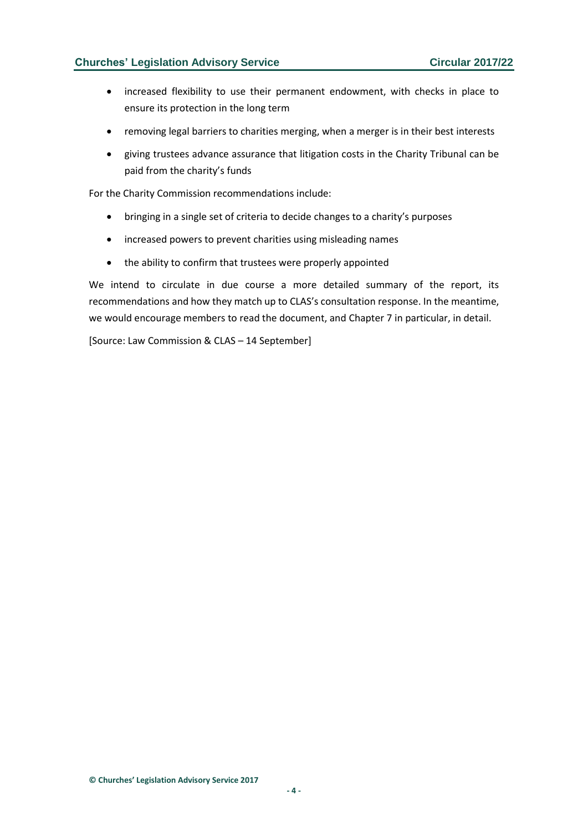- increased flexibility to use their permanent endowment, with checks in place to ensure its protection in the long term
- removing legal barriers to charities merging, when a merger is in their best interests
- giving trustees advance assurance that litigation costs in the Charity Tribunal can be paid from the charity's funds

For the Charity Commission recommendations include:

- bringing in a single set of criteria to decide changes to a charity's purposes
- increased powers to prevent charities using misleading names
- the ability to confirm that trustees were properly appointed

We intend to circulate in due course a more detailed summary of the report, its recommendations and how they match up to CLAS's consultation response. In the meantime, we would encourage members to read the document, and Chapter 7 in particular, in detail.

[Source: Law Commission & CLAS – 14 September]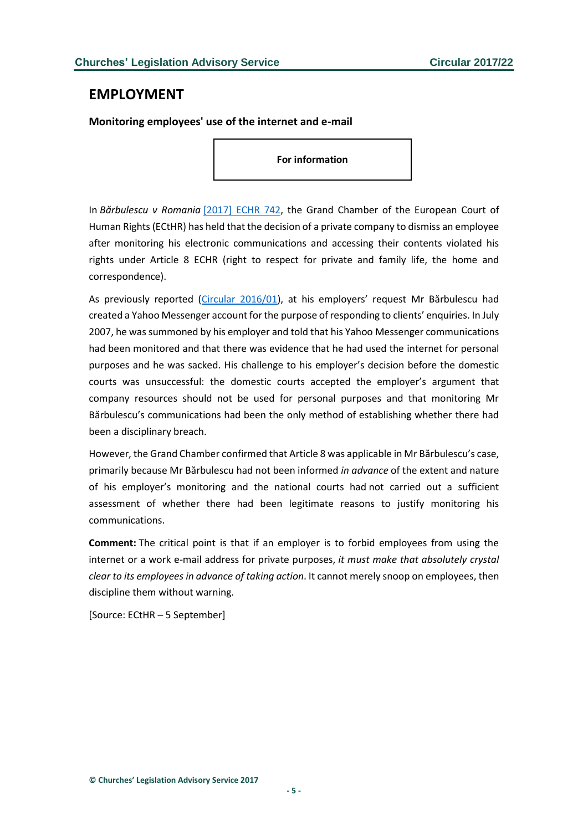## <span id="page-4-0"></span>**EMPLOYMENT**

### <span id="page-4-1"></span>**Monitoring employees' use of the internet and e-mail**

**For information**

In *Bărbulescu v Romania* [\[2017\] ECHR 742,](http://hudoc.echr.coe.int/eng?i=001-177082) the Grand Chamber of the European Court of Human Rights (ECtHR) has held that the decision of a private company to dismiss an employee after monitoring his electronic communications and accessing their contents violated his rights under Article 8 ECHR (right to respect for private and family life, the home and correspondence).

As previously reported [\(Circular 2016/01\)](http://www.churcheslegislation.org.uk/issues/issues.php?id=1401), at his employers' request Mr Bărbulescu had created a Yahoo Messenger account for the purpose of responding to clients' enquiries. In July 2007, he was summoned by his employer and told that his Yahoo Messenger communications had been monitored and that there was evidence that he had used the internet for personal purposes and he was sacked. His challenge to his employer's decision before the domestic courts was unsuccessful: the domestic courts accepted the employer's argument that company resources should not be used for personal purposes and that monitoring Mr Bărbulescu's communications had been the only method of establishing whether there had been a disciplinary breach.

However, the Grand Chamber confirmed that Article 8 was applicable in Mr Bărbulescu's case, primarily because Mr Bărbulescu had not been informed *in advance* of the extent and nature of his employer's monitoring and the national courts had not carried out a sufficient assessment of whether there had been legitimate reasons to justify monitoring his communications.

**Comment:** The critical point is that if an employer is to forbid employees from using the internet or a work e-mail address for private purposes, *it must make that absolutely crystal clear to its employees in advance of taking action*. It cannot merely snoop on employees, then discipline them without warning.

[Source: ECtHR – 5 September]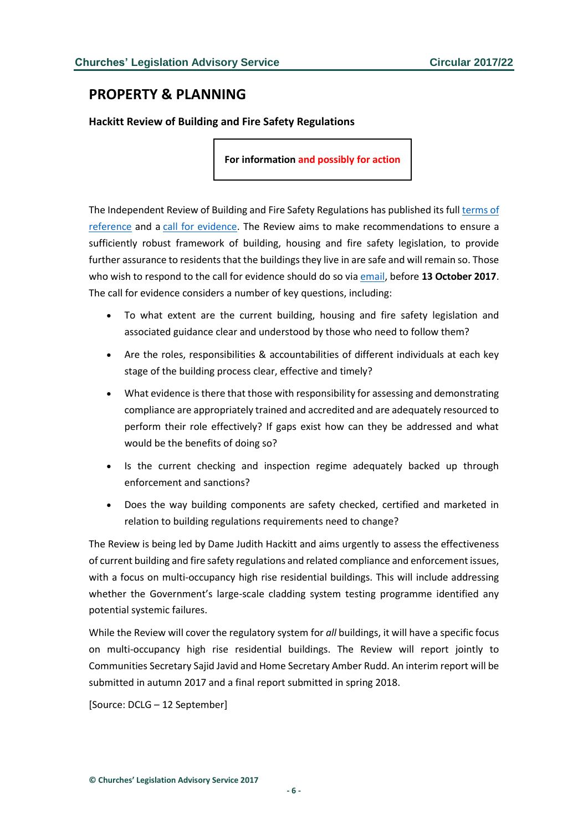## <span id="page-5-0"></span>**PROPERTY & PLANNING**

<span id="page-5-1"></span>**Hackitt Review of Building and Fire Safety Regulations**

**For information and possibly for action**

The Independent Review of Building and Fire Safety Regulations has published its full [terms of](http://www.gov.uk/government/uploads/system/uploads/attachment_data/file/640790/Hackitt_Review_terms_of_reference.pdf)  [reference](http://www.gov.uk/government/uploads/system/uploads/attachment_data/file/640790/Hackitt_Review_terms_of_reference.pdf) and a [call for evidence.](http://www.gov.uk/government/uploads/system/uploads/attachment_data/file/644139/The_call_for_evidence_for_the_independent_Review_of_Building_Regulations_and_Fire_Safety.pdf) The Review aims to make recommendations to ensure a sufficiently robust framework of building, housing and fire safety legislation, to provide further assurance to residents that the buildings they live in are safe and will remain so. Those who wish to respond to the call for evidence should do so via [email,](mailto:BuildingRegulationsandFireSafetyReview@communities.gsi.gov.uk) before **13 October 2017**. The call for evidence considers a number of key questions, including:

- To what extent are the current building, housing and fire safety legislation and associated guidance clear and understood by those who need to follow them?
- Are the roles, responsibilities & accountabilities of different individuals at each key stage of the building process clear, effective and timely?
- What evidence is there that those with responsibility for assessing and demonstrating compliance are appropriately trained and accredited and are adequately resourced to perform their role effectively? If gaps exist how can they be addressed and what would be the benefits of doing so?
- Is the current checking and inspection regime adequately backed up through enforcement and sanctions?
- Does the way building components are safety checked, certified and marketed in relation to building regulations requirements need to change?

The Review is being led by Dame Judith Hackitt and aims urgently to assess the effectiveness of current building and fire safety regulations and related compliance and enforcement issues, with a focus on multi-occupancy high rise residential buildings. This will include addressing whether the Government's large-scale cladding system testing programme identified any potential systemic failures.

While the Review will cover the regulatory system for *all* buildings, it will have a specific focus on multi-occupancy high rise residential buildings. The Review will report jointly to Communities Secretary Sajid Javid and Home Secretary Amber Rudd. An interim report will be submitted in autumn 2017 and a final report submitted in spring 2018.

[Source: DCLG – 12 September]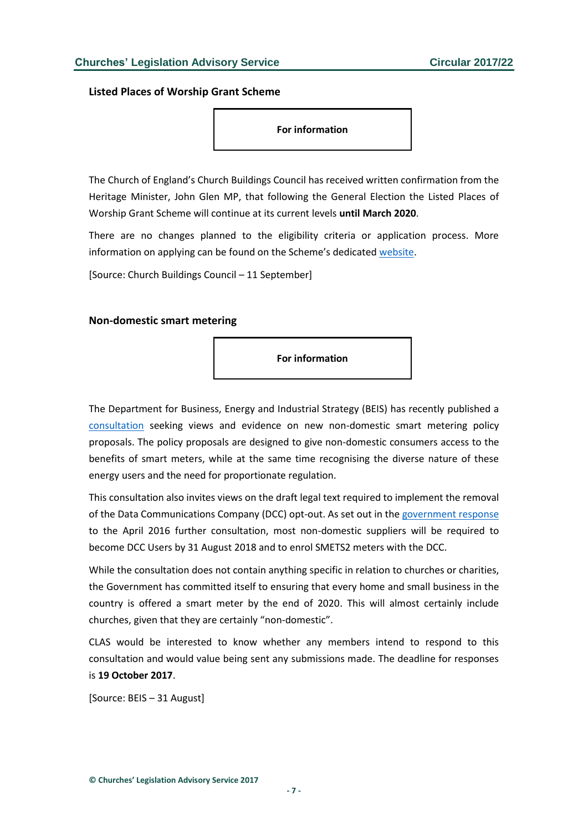<span id="page-6-0"></span>**Listed Places of Worship Grant Scheme**

**For information**

The Church of England's Church Buildings Council has received written confirmation from the Heritage Minister, John Glen MP, that following the General Election the Listed Places of Worship Grant Scheme will continue at its current levels **until March 2020**.

There are no changes planned to the eligibility criteria or application process. More information on applying can be found on the Scheme's dedicated [website.](http://www.lpwscheme.org.uk/)

[Source: Church Buildings Council – 11 September]

#### <span id="page-6-1"></span>**Non-domestic smart metering**



The Department for Business, Energy and Industrial Strategy (BEIS) has recently published a [consultation](https://www.gov.uk/government/uploads/system/uploads/attachment_data/file/641220/Non_dom_consultation_policy_propsals_and_draft_legal_text.pdf) seeking views and evidence on new non-domestic smart metering policy proposals. The policy proposals are designed to give non-domestic consumers access to the benefits of smart meters, while at the same time recognising the diverse nature of these energy users and the need for proportionate regulation.

This consultation also invites views on the draft legal text required to implement the removal of the Data Communications Company (DCC) opt-out. As set out in the [government response](https://www.gov.uk/government/consultations/further-consultation-on-non-domestic-smart-metering-the-dcc-opt-out) to the April 2016 further consultation, most non-domestic suppliers will be required to become DCC Users by 31 August 2018 and to enrol SMETS2 meters with the DCC.

While the consultation does not contain anything specific in relation to churches or charities, the Government has committed itself to ensuring that every home and small business in the country is offered a smart meter by the end of 2020. This will almost certainly include churches, given that they are certainly "non-domestic".

CLAS would be interested to know whether any members intend to respond to this consultation and would value being sent any submissions made. The deadline for responses is **19 October 2017**.

[Source: BEIS – 31 August]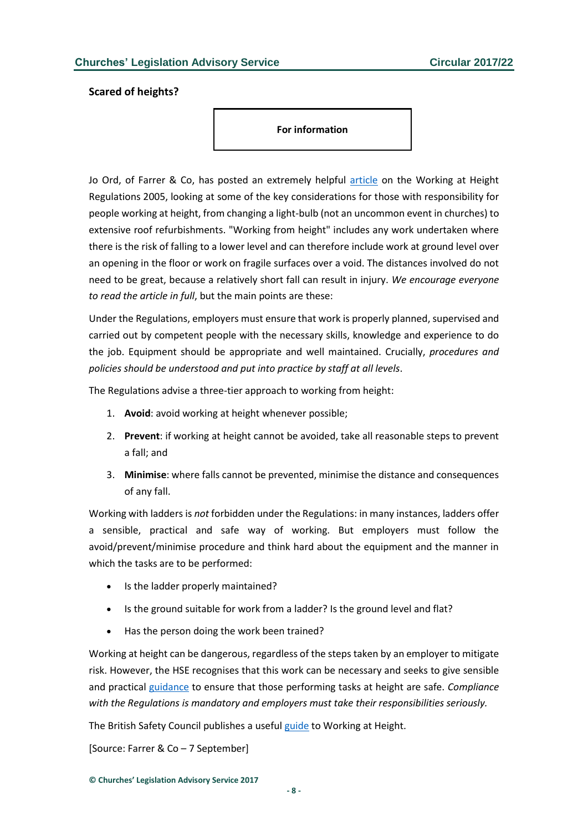### <span id="page-7-0"></span>**Scared of heights?**

**For information**

Jo Ord, of Farrer & Co, has posted an extremely helpful [article](https://sites-farrer.vuture.net/97/711/uploads/scared-of-heights---september-2017.pdf) on the Working at Height Regulations 2005, looking at some of the key considerations for those with responsibility for people working at height, from changing a light-bulb (not an uncommon event in churches) to extensive roof refurbishments. "Working from height" includes any work undertaken where there is the risk of falling to a lower level and can therefore include work at ground level over an opening in the floor or work on fragile surfaces over a void. The distances involved do not need to be great, because a relatively short fall can result in injury. *We encourage everyone to read the article in full*, but the main points are these:

Under the Regulations, employers must ensure that work is properly planned, supervised and carried out by competent people with the necessary skills, knowledge and experience to do the job. Equipment should be appropriate and well maintained. Crucially, *procedures and policies should be understood and put into practice by staff at all levels*.

The Regulations advise a three-tier approach to working from height:

- 1. **Avoid**: avoid working at height whenever possible;
- 2. **Prevent**: if working at height cannot be avoided, take all reasonable steps to prevent a fall; and
- 3. **Minimise**: where falls cannot be prevented, minimise the distance and consequences of any fall.

Working with ladders is *not* forbidden under the Regulations: in many instances, ladders offer a sensible, practical and safe way of working. But employers must follow the avoid/prevent/minimise procedure and think hard about the equipment and the manner in which the tasks are to be performed:

- Is the ladder properly maintained?
- Is the ground suitable for work from a ladder? Is the ground level and flat?
- Has the person doing the work been trained?

Working at height can be dangerous, regardless of the steps taken by an employer to mitigate risk. However, the HSE recognises that this work can be necessary and seeks to give sensible and practical [guidance](http://www.hse.gov.uk/pubns/indg401.pdf) to ensure that those performing tasks at height are safe. *Compliance with the Regulations is mandatory and employers must take their responsibilities seriously.* 

The British Safety Council publishes a useful [guide](https://www.britsafe.org/products/working-at-height-1) to Working at Height.

[Source: Farrer & Co – 7 September]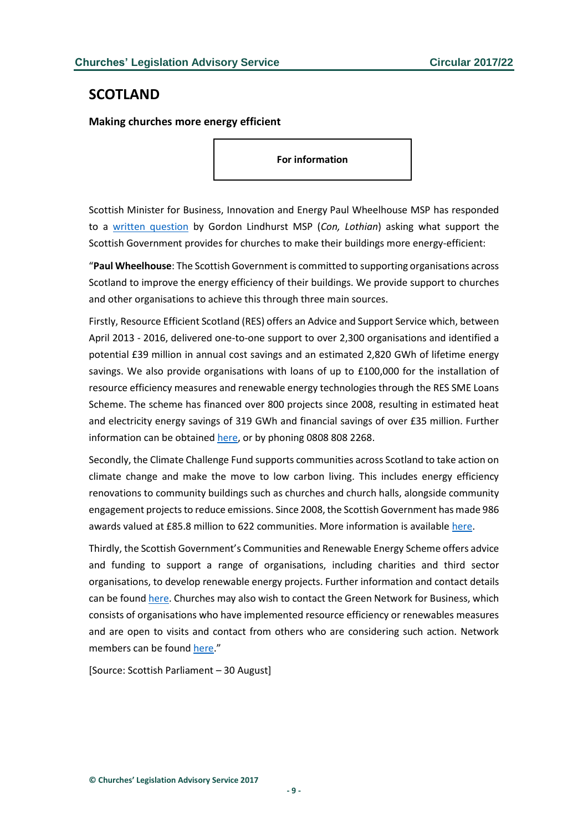## <span id="page-8-0"></span>**SCOTLAND**

<span id="page-8-1"></span>**Making churches more energy efficient**

**For information**

Scottish Minister for Business, Innovation and Energy Paul Wheelhouse MSP has responded to a [written question](http://www.parliament.scot/parliamentarybusiness/28877.aspx?SearchType=Advance&ReferenceNumbers=S5W-10003&ResultsPerPage=10) by Gordon Lindhurst MSP (*Con, Lothian*) asking what support the Scottish Government provides for churches to make their buildings more energy-efficient:

"**Paul Wheelhouse**: The Scottish Government is committed to supporting organisations across Scotland to improve the energy efficiency of their buildings. We provide support to churches and other organisations to achieve this through three main sources.

Firstly, Resource Efficient Scotland (RES) offers an Advice and Support Service which, between April 2013 - 2016, delivered one-to-one support to over 2,300 organisations and identified a potential £39 million in annual cost savings and an estimated 2,820 GWh of lifetime energy savings. We also provide organisations with loans of up to £100,000 for the installation of resource efficiency measures and renewable energy technologies through the RES SME Loans Scheme. The scheme has financed over 800 projects since 2008, resulting in estimated heat and electricity energy savings of 319 GWh and financial savings of over £35 million. Further information can be obtained [here,](http://www.resourceefficientscotland.com/) or by phoning 0808 808 2268.

Secondly, the Climate Challenge Fund supports communities across Scotland to take action on climate change and make the move to low carbon living. This includes energy efficiency renovations to community buildings such as churches and church halls, alongside community engagement projects to reduce emissions. Since 2008, the Scottish Government has made 986 awards valued at £85.8 million to 622 communities. More information is availabl[e here.](http://www.keepscotlandbeautiful.org/sustainability-climate-change/climate-challenge-fund/)

Thirdly, the Scottish Government's Communities and Renewable Energy Scheme offers advice and funding to support a range of organisations, including charities and third sector organisations, to develop renewable energy projects. Further information and contact details can be foun[d here.](http://www.localenergyscotland.org/) Churches may also wish to contact the Green Network for Business, which consists of organisations who have implemented resource efficiency or renewables measures and are open to visits and contact from others who are considering such action. Network members can be found [here.](http://greennetwork.resourceefficientscotland.com/)"

[Source: Scottish Parliament – 30 August]